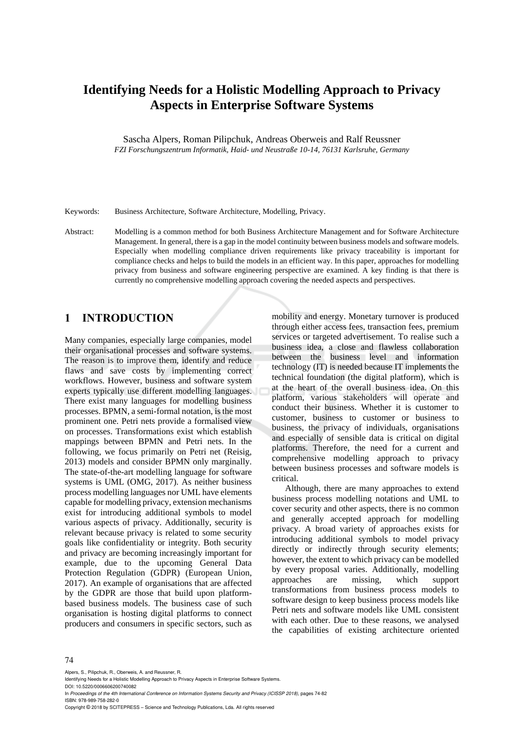# **Identifying Needs for a Holistic Modelling Approach to Privacy Aspects in Enterprise Software Systems**

Sascha Alpers, Roman Pilipchuk, Andreas Oberweis and Ralf Reussner *FZI Forschungszentrum Informatik, Haid- und Neustraße 10-14, 76131 Karlsruhe, Germany* 

Keywords: Business Architecture, Software Architecture, Modelling, Privacy.

Abstract: Modelling is a common method for both Business Architecture Management and for Software Architecture Management. In general, there is a gap in the model continuity between business models and software models. Especially when modelling compliance driven requirements like privacy traceability is important for compliance checks and helps to build the models in an efficient way. In this paper, approaches for modelling privacy from business and software engineering perspective are examined. A key finding is that there is currently no comprehensive modelling approach covering the needed aspects and perspectives.

### **1 INTRODUCTION**

Many companies, especially large companies, model their organisational processes and software systems. The reason is to improve them, identify and reduce flaws and save costs by implementing correct workflows. However, business and software system experts typically use different modelling languages. There exist many languages for modelling business processes. BPMN, a semi-formal notation, is the most prominent one. Petri nets provide a formalised view on processes. Transformations exist which establish mappings between BPMN and Petri nets. In the following, we focus primarily on Petri net (Reisig, 2013) models and consider BPMN only marginally. The state-of-the-art modelling language for software systems is UML (OMG, 2017). As neither business process modelling languages nor UML have elements capable for modelling privacy, extension mechanisms exist for introducing additional symbols to model various aspects of privacy. Additionally, security is relevant because privacy is related to some security goals like confidentiality or integrity. Both security and privacy are becoming increasingly important for example, due to the upcoming General Data Protection Regulation (GDPR) (European Union, 2017). An example of organisations that are affected by the GDPR are those that build upon platformbased business models. The business case of such organisation is hosting digital platforms to connect producers and consumers in specific sectors, such as

mobility and energy. Monetary turnover is produced through either access fees, transaction fees, premium services or targeted advertisement. To realise such a business idea, a close and flawless collaboration between the business level and information technology (IT) is needed because IT implements the technical foundation (the digital platform), which is at the heart of the overall business idea. On this platform, various stakeholders will operate and conduct their business. Whether it is customer to customer, business to customer or business to business, the privacy of individuals, organisations and especially of sensible data is critical on digital platforms. Therefore, the need for a current and comprehensive modelling approach to privacy between business processes and software models is critical.

Although, there are many approaches to extend business process modelling notations and UML to cover security and other aspects, there is no common and generally accepted approach for modelling privacy. A broad variety of approaches exists for introducing additional symbols to model privacy directly or indirectly through security elements; however, the extent to which privacy can be modelled by every proposal varies. Additionally, modelling approaches are missing, which support transformations from business process models to software design to keep business process models like Petri nets and software models like UML consistent with each other. Due to these reasons, we analysed the capabilities of existing architecture oriented

#### 74

Alpers, S., Pilipchuk, R., Oberweis, A. and Reussner, R.

Identifying Needs for a Holistic Modelling Approach to Privacy Aspects in Enterprise Software Systems. DOI: 10.5220/0006606200740082

In *Proceedings of the 4th International Conference on Information Systems Security and Privacy (ICISSP 2018)*, pages 74-82 ISBN: 978-989-758-282-0

Copyright © 2018 by SCITEPRESS – Science and Technology Publications, Lda. All rights reserved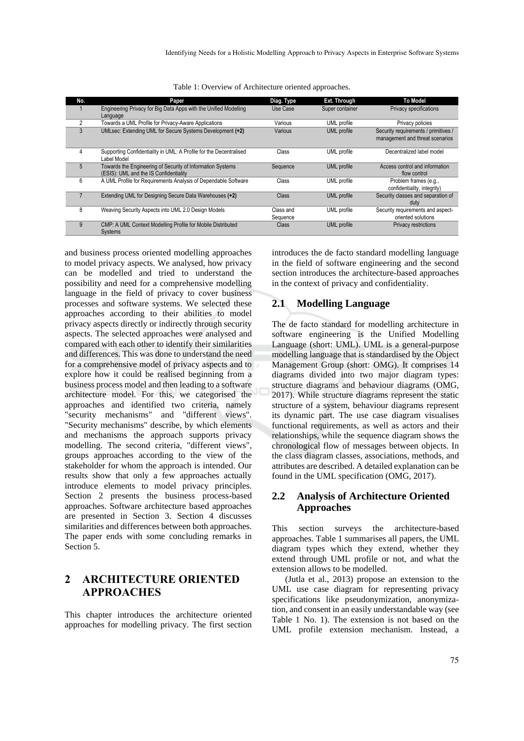| No. | <b>Paper</b>                                                                      | Diag. Type   | Ext. Through       | <b>To Model</b>                      |
|-----|-----------------------------------------------------------------------------------|--------------|--------------------|--------------------------------------|
|     | Engineering Privacy for Big Data Apps with the Unified Modelling                  | Use Case     | Super container    | Privacy specifications               |
|     | Language                                                                          |              |                    |                                      |
| 2   | Towards a UML Profile for Privacy-Aware Applications                              | Various      | UML profile        | Privacy policies                     |
| 3   | UMLsec: Extending UML for Secure Systems Development (+2)                         | Various      | <b>UML</b> profile | Security requirements / primitives / |
|     |                                                                                   |              |                    | management and threat scenarios      |
|     |                                                                                   |              |                    |                                      |
| 4   | Supporting Confidentiality in UML: A Profile for the Decentralised<br>Label Model | Class        | UML profile        | Decentralized label model            |
| 5   | Towards the Engineering of Security of Information Systems                        | Sequence     | <b>UML</b> profile | Access control and information       |
|     | (ESIS): UML and the IS Confidentiality                                            |              |                    | flow control                         |
| 6   | A UML Profile for Requirements Analysis of Dependable Software                    | Class        | UML profile        | Problem frames (e.g.,                |
|     |                                                                                   |              |                    | confidentiality, integrity)          |
|     | Extending UML for Designing Secure Data Warehouses (+2)                           | <b>Class</b> | <b>UML</b> profile | Security classes and separation of   |
|     |                                                                                   |              |                    | duty                                 |
| 8   | Weaving Security Aspects into UML 2.0 Design Models                               | Class and    | UML profile        | Security requirements and aspect-    |
|     |                                                                                   | Sequence     |                    | oriented solutions                   |
| 9   | CMP: A UML Context Modelling Profile for Mobile Distributed                       | <b>Class</b> | <b>UML</b> profile | <b>Privacy restrictions</b>          |
|     | Systems                                                                           |              |                    |                                      |

Table 1: Overview of Architecture oriented approaches.

and business process oriented modelling approaches to model privacy aspects. We analysed, how privacy can be modelled and tried to understand the possibility and need for a comprehensive modelling language in the field of privacy to cover business processes and software systems. We selected these approaches according to their abilities to model privacy aspects directly or indirectly through security aspects. The selected approaches were analysed and compared with each other to identify their similarities and differences. This was done to understand the need for a comprehensive model of privacy aspects and to explore how it could be realised beginning from a business process model and then leading to a software architecture model. For this, we categorised the approaches and identified two criteria, namely "security mechanisms" and "different views". "Security mechanisms" describe, by which elements and mechanisms the approach supports privacy modelling. The second criteria, "different views", groups approaches according to the view of the stakeholder for whom the approach is intended. Our results show that only a few approaches actually introduce elements to model privacy principles. Section 2 presents the business process-based approaches. Software architecture based approaches are presented in Section 3. Section 4 discusses similarities and differences between both approaches. The paper ends with some concluding remarks in Section 5.

### **2 ARCHITECTURE ORIENTED APPROACHES**

This chapter introduces the architecture oriented approaches for modelling privacy. The first section introduces the de facto standard modelling language in the field of software engineering and the second section introduces the architecture-based approaches in the context of privacy and confidentiality.

#### **2.1 Modelling Language**

The de facto standard for modelling architecture in software engineering is the Unified Modelling Language (short: UML). UML is a general-purpose modelling language that is standardised by the Object Management Group (short: OMG). It comprises 14 diagrams divided into two major diagram types: structure diagrams and behaviour diagrams (OMG, 2017). While structure diagrams represent the static structure of a system, behaviour diagrams represent its dynamic part. The use case diagram visualises functional requirements, as well as actors and their relationships, while the sequence diagram shows the chronological flow of messages between objects. In the class diagram classes, associations, methods, and attributes are described. A detailed explanation can be found in the UML specification (OMG, 2017).

### **2.2 Analysis of Architecture Oriented Approaches**

This section surveys the architecture-based approaches. Table 1 summarises all papers, the UML diagram types which they extend, whether they extend through UML profile or not, and what the extension allows to be modelled.

(Jutla et al., 2013) propose an extension to the UML use case diagram for representing privacy specifications like pseudonymization, anonymization, and consent in an easily understandable way (see Table 1 No. 1). The extension is not based on the UML profile extension mechanism. Instead, a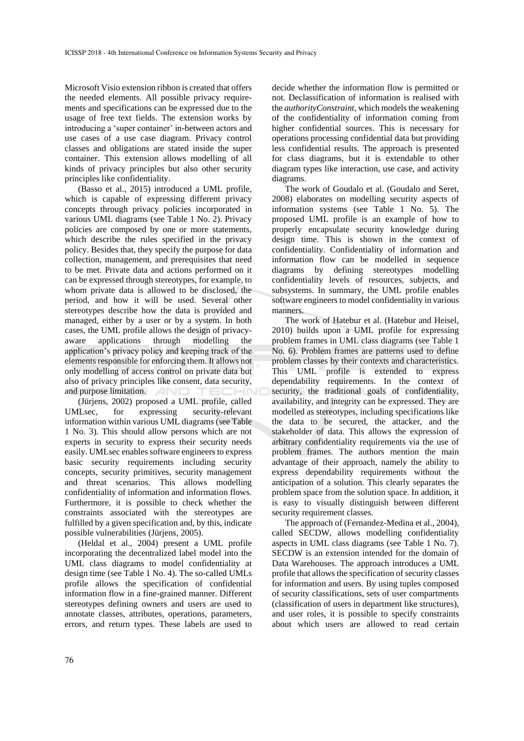Microsoft Visio extension ribbon is created that offers the needed elements. All possible privacy requirements and specifications can be expressed due to the usage of free text fields. The extension works by introducing a 'super container' in-between actors and use cases of a use case diagram. Privacy control classes and obligations are stated inside the super container. This extension allows modelling of all kinds of privacy principles but also other security principles like confidentiality.

(Basso et al., 2015) introduced a UML profile, which is capable of expressing different privacy concepts through privacy policies incorporated in various UML diagrams (see Table 1 No. 2). Privacy policies are composed by one or more statements, which describe the rules specified in the privacy policy. Besides that, they specify the purpose for data collection, management, and prerequisites that need to be met. Private data and actions performed on it can be expressed through stereotypes, for example, to whom private data is allowed to be disclosed, the period, and how it will be used. Several other stereotypes describe how the data is provided and managed, either by a user or by a system. In both cases, the UML profile allows the design of privacyaware applications through modelling the application's privacy policy and keeping track of the elements responsible for enforcing them. It allows not only modelling of access control on private data but also of privacy principles like consent, data security, and purpose limitation. **AND** 

(Jürjens, 2002) proposed a UML profile, called UMLsec, for expressing security-relevant information within various UML diagrams (see Table 1 No. 3). This should allow persons which are not experts in security to express their security needs easily. UMLsec enables software engineers to express basic security requirements including security concepts, security primitives, security management and threat scenarios. This allows modelling confidentiality of information and information flows. Furthermore, it is possible to check whether the constraints associated with the stereotypes are fulfilled by a given specification and, by this, indicate possible vulnerabilities (Jürjens, 2005).

(Heldal et al., 2004) present a UML profile incorporating the decentralized label model into the UML class diagrams to model confidentiality at design time (see Table 1 No. 4). The so-called UMLs profile allows the specification of confidential information flow in a fine-grained manner. Different stereotypes defining owners and users are used to annotate classes, attributes, operations, parameters, errors, and return types. These labels are used to

decide whether the information flow is permitted or not. Declassification of information is realised with the *authorityConstraint*, which models the weakening of the confidentiality of information coming from higher confidential sources. This is necessary for operations processing confidential data but providing less confidential results. The approach is presented for class diagrams, but it is extendable to other diagram types like interaction, use case, and activity diagrams.

The work of Goudalo et al. (Goudalo and Seret, 2008) elaborates on modelling security aspects of information systems (see Table 1 No. 5). The proposed UML profile is an example of how to properly encapsulate security knowledge during design time. This is shown in the context of confidentiality. Confidentiality of information and information flow can be modelled in sequence diagrams by defining stereotypes modelling confidentiality levels of resources, subjects, and subsystems. In summary, the UML profile enables software engineers to model confidentiality in various manners.

The work of Hatebur et al. (Hatebur and Heisel, 2010) builds upon a UML profile for expressing problem frames in UML class diagrams (see Table 1 No. 6). Problem frames are patterns used to define problem classes by their contexts and characteristics. This UML profile is extended to express dependability requirements. In the context of security, the traditional goals of confidentiality, availability, and integrity can be expressed. They are modelled as stereotypes, including specifications like the data to be secured, the attacker, and the stakeholder of data. This allows the expression of arbitrary confidentiality requirements via the use of problem frames. The authors mention the main advantage of their approach, namely the ability to express dependability requirements without the anticipation of a solution. This clearly separates the problem space from the solution space. In addition, it is easy to visually distinguish between different security requirement classes.

The approach of (Fernandez-Medina et al., 2004), called SECDW, allows modelling confidentiality aspects in UML class diagrams (see Table 1 No. 7). SECDW is an extension intended for the domain of Data Warehouses. The approach introduces a UML profile that allows the specification of security classes for information and users. By using tuples composed of security classifications, sets of user compartments (classification of users in department like structures), and user roles, it is possible to specify constraints about which users are allowed to read certain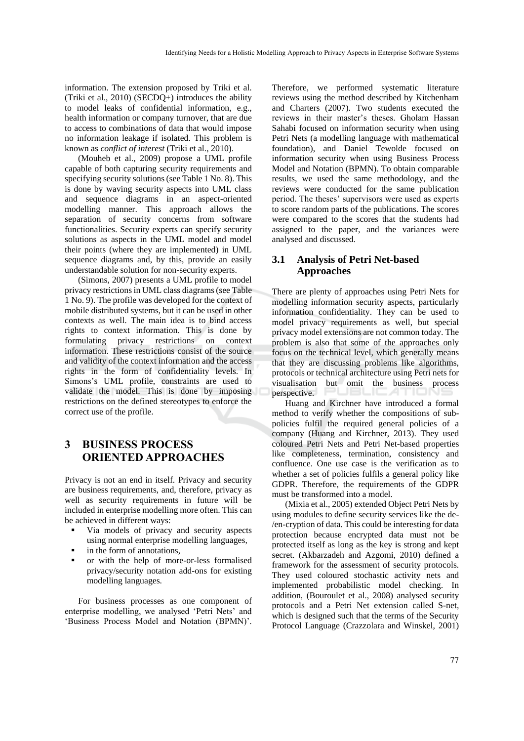information. The extension proposed by Triki et al. (Triki et al., 2010) (SECDQ+) introduces the ability to model leaks of confidential information, e.g., health information or company turnover, that are due to access to combinations of data that would impose no information leakage if isolated. This problem is known as *conflict of interest* (Triki et al., 2010).

(Mouheb et al., 2009) propose a UML profile capable of both capturing security requirements and specifying security solutions (see Table 1 No. 8). This is done by waving security aspects into UML class and sequence diagrams in an aspect-oriented modelling manner. This approach allows the separation of security concerns from software functionalities. Security experts can specify security solutions as aspects in the UML model and model their points (where they are implemented) in UML sequence diagrams and, by this, provide an easily understandable solution for non-security experts.

(Simons, 2007) presents a UML profile to model privacy restrictions in UML class diagrams (see Table 1 No. 9). The profile was developed for the context of mobile distributed systems, but it can be used in other contexts as well. The main idea is to bind access rights to context information. This is done by formulating privacy restrictions on context information. These restrictions consist of the source and validity of the context information and the access rights in the form of confidentiality levels. In Simons's UML profile, constraints are used to validate the model. This is done by imposing restrictions on the defined stereotypes to enforce the correct use of the profile.

### **3 BUSINESS PROCESS ORIENTED APPROACHES**

Privacy is not an end in itself. Privacy and security are business requirements, and, therefore, privacy as well as security requirements in future will be included in enterprise modelling more often. This can be achieved in different ways:

- Via models of privacy and security aspects using normal enterprise modelling languages,
- in the form of annotations,
- or with the help of more-or-less formalised privacy/security notation add-ons for existing modelling languages.

For business processes as one component of enterprise modelling, we analysed 'Petri Nets' and 'Business Process Model and Notation (BPMN)'.

Therefore, we performed systematic literature reviews using the method described by Kitchenham and Charters (2007). Two students executed the reviews in their master's theses. Gholam Hassan Sahabi focused on information security when using Petri Nets (a modelling language with mathematical foundation), and Daniel Tewolde focused on information security when using Business Process Model and Notation (BPMN). To obtain comparable results, we used the same methodology, and the reviews were conducted for the same publication period. The theses' supervisors were used as experts to score random parts of the publications. The scores were compared to the scores that the students had assigned to the paper, and the variances were analysed and discussed.

#### **3.1 Analysis of Petri Net-based Approaches**

There are plenty of approaches using Petri Nets for modelling information security aspects, particularly information confidentiality. They can be used to model privacy requirements as well, but special privacy model extensions are not common today. The problem is also that some of the approaches only focus on the technical level, which generally means that they are discussing problems like algorithms, protocols or technical architecture using Petri nets for visualisation but omit the business process perspective.

Huang and Kirchner have introduced a formal method to verify whether the compositions of subpolicies fulfil the required general policies of a company (Huang and Kirchner, 2013). They used coloured Petri Nets and Petri Net-based properties like completeness, termination, consistency and confluence. One use case is the verification as to whether a set of policies fulfils a general policy like GDPR. Therefore, the requirements of the GDPR must be transformed into a model.

(Mixia et al., 2005) extended Object Petri Nets by using modules to define security services like the de- /en-cryption of data. This could be interesting for data protection because encrypted data must not be protected itself as long as the key is strong and kept secret. (Akbarzadeh and Azgomi, 2010) defined a framework for the assessment of security protocols. They used coloured stochastic activity nets and implemented probabilistic model checking. In addition, (Bouroulet et al., 2008) analysed security protocols and a Petri Net extension called S-net, which is designed such that the terms of the Security Protocol Language (Crazzolara and Winskel, 2001)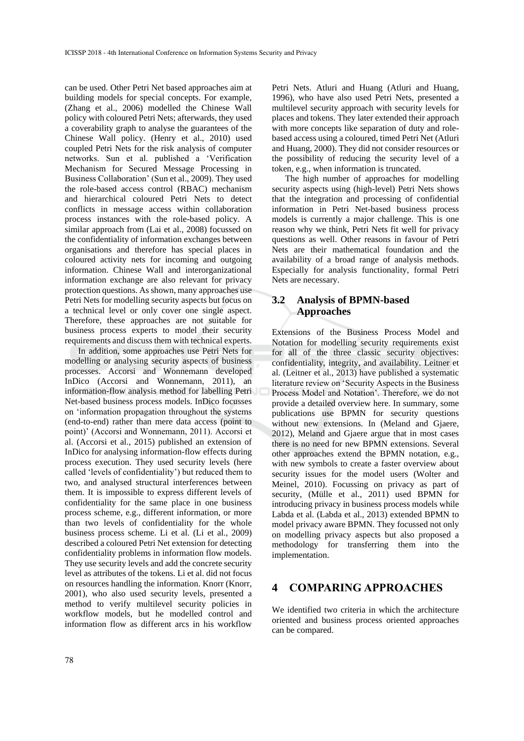can be used. Other Petri Net based approaches aim at building models for special concepts. For example, (Zhang et al., 2006) modelled the Chinese Wall policy with coloured Petri Nets; afterwards, they used a coverability graph to analyse the guarantees of the Chinese Wall policy. (Henry et al., 2010) used coupled Petri Nets for the risk analysis of computer networks. Sun et al. published a 'Verification Mechanism for Secured Message Processing in Business Collaboration' (Sun et al., 2009). They used the role-based access control (RBAC) mechanism and hierarchical coloured Petri Nets to detect conflicts in message access within collaboration process instances with the role-based policy. A similar approach from (Lai et al., 2008) focussed on the confidentiality of information exchanges between organisations and therefore has special places in coloured activity nets for incoming and outgoing information. Chinese Wall and interorganizational information exchange are also relevant for privacy protection questions. As shown, many approaches use Petri Nets for modelling security aspects but focus on a technical level or only cover one single aspect. Therefore, these approaches are not suitable for business process experts to model their security requirements and discuss them with technical experts.

In addition, some approaches use Petri Nets for modelling or analysing security aspects of business processes. Accorsi and Wonnemann developed InDico (Accorsi and Wonnemann, 2011), an information-flow analysis method for labelling Petri Net-based business process models. InDico focusses on 'information propagation throughout the systems (end-to-end) rather than mere data access (point to point)' (Accorsi and Wonnemann, 2011). Accorsi et al. (Accorsi et al., 2015) published an extension of InDico for analysing information-flow effects during process execution. They used security levels (here called 'levels of confidentiality') but reduced them to two, and analysed structural interferences between them. It is impossible to express different levels of confidentiality for the same place in one business process scheme, e.g., different information, or more than two levels of confidentiality for the whole business process scheme. Li et al. (Li et al., 2009) described a coloured Petri Net extension for detecting confidentiality problems in information flow models. They use security levels and add the concrete security level as attributes of the tokens. Li et al. did not focus on resources handling the information. Knorr (Knorr, 2001), who also used security levels, presented a method to verify multilevel security policies in workflow models, but he modelled control and information flow as different arcs in his workflow

Petri Nets. Atluri and Huang (Atluri and Huang, 1996), who have also used Petri Nets, presented a multilevel security approach with security levels for places and tokens. They later extended their approach with more concepts like separation of duty and rolebased access using a coloured, timed Petri Net (Atluri and Huang, 2000). They did not consider resources or the possibility of reducing the security level of a token, e.g., when information is truncated.

The high number of approaches for modelling security aspects using (high-level) Petri Nets shows that the integration and processing of confidential information in Petri Net-based business process models is currently a major challenge. This is one reason why we think, Petri Nets fit well for privacy questions as well. Other reasons in favour of Petri Nets are their mathematical foundation and the availability of a broad range of analysis methods. Especially for analysis functionality, formal Petri Nets are necessary.

### **3.2 Analysis of BPMN-based Approaches**

Extensions of the Business Process Model and Notation for modelling security requirements exist for all of the three classic security objectives: confidentiality, integrity, and availability. Leitner et al. (Leitner et al., 2013) have published a systematic literature review on 'Security Aspects in the Business Process Model and Notation'. Therefore, we do not provide a detailed overview here. In summary, some publications use BPMN for security questions without new extensions. In (Meland and Gjaere, 2012), Meland and Gjaere argue that in most cases there is no need for new BPMN extensions. Several other approaches extend the BPMN notation, e.g., with new symbols to create a faster overview about security issues for the model users (Wolter and Meinel, 2010). Focussing on privacy as part of security, (Mülle et al., 2011) used BPMN for introducing privacy in business process models while Labda et al. (Labda et al., 2013) extended BPMN to model privacy aware BPMN. They focussed not only on modelling privacy aspects but also proposed a methodology for transferring them into the implementation.

## **4 COMPARING APPROACHES**

We identified two criteria in which the architecture oriented and business process oriented approaches can be compared.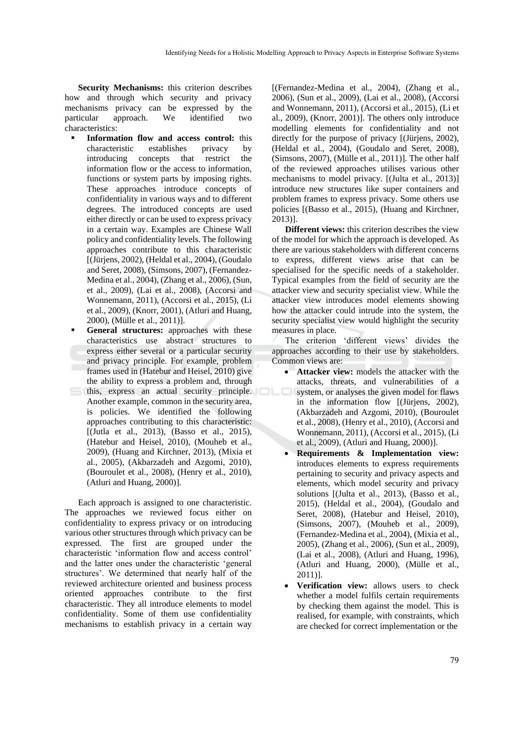**Security Mechanisms:** this criterion describes how and through which security and privacy mechanisms privacy can be expressed by the particular approach. We identified two characteristics:

- **Information flow and access control:** this characteristic establishes privacy by introducing concepts that restrict the information flow or the access to information, functions or system parts by imposing rights. These approaches introduce concepts of confidentiality in various ways and to different degrees. The introduced concepts are used either directly or can be used to express privacy in a certain way. Examples are Chinese Wall policy and confidentiality levels. The following approaches contribute to this characteristic [(Jürjens, 2002), (Heldal et al., 2004), (Goudalo and Seret, 2008), (Simsons, 2007), (Fernandez-Medina et al., 2004), (Zhang et al., 2006), (Sun, et al., 2009), (Lai et al., 2008), (Accorsi and Wonnemann, 2011), (Accorsi et al., 2015), (Li et al., 2009), (Knorr, 2001), (Atluri and Huang, 2000), (Mülle et al., 2011)].
- General structures: approaches with these characteristics use abstract structures to express either several or a particular security and privacy principle. For example, problem frames used in (Hatebur and Heisel, 2010) give the ability to express a problem and, through this, express an actual security principle. Another example, common in the security area, is policies. We identified the following approaches contributing to this characteristic: [(Jutla et al., 2013), (Basso et al., 2015), (Hatebur and Heisel, 2010), (Mouheb et al., 2009), (Huang and Kirchner, 2013), (Mixia et al., 2005), (Akbarzadeh and Azgomi, 2010), (Bouroulet et al., 2008), (Henry et al., 2010), (Atluri and Huang, 2000)].

Each approach is assigned to one characteristic. The approaches we reviewed focus either on confidentiality to express privacy or on introducing various other structures through which privacy can be expressed. The first are grouped under the characteristic 'information flow and access control' and the latter ones under the characteristic 'general structures'. We determined that nearly half of the reviewed architecture oriented and business process oriented approaches contribute to the first characteristic. They all introduce elements to model confidentiality. Some of them use confidentiality mechanisms to establish privacy in a certain way

[(Fernandez-Medina et al., 2004), (Zhang et al., 2006), (Sun et al., 2009), (Lai et al., 2008), (Accorsi and Wonnemann, 2011), (Accorsi et al., 2015), (Li et al., 2009), (Knorr, 2001)]. The others only introduce modelling elements for confidentiality and not directly for the purpose of privacy [(Jürjens, 2002), (Heldal et al., 2004), (Goudalo and Seret, 2008), (Simsons, 2007), (Mülle et al., 2011)]. The other half of the reviewed approaches utilises various other mechanisms to model privacy. [(Julta et al., 2013)] introduce new structures like super containers and problem frames to express privacy. Some others use policies [(Basso et al., 2015), (Huang and Kirchner, 2013)].

**Different views:** this criterion describes the view of the model for which the approach is developed. As there are various stakeholders with different concerns to express, different views arise that can be specialised for the specific needs of a stakeholder. Typical examples from the field of security are the attacker view and security specialist view. While the attacker view introduces model elements showing how the attacker could intrude into the system, the security specialist view would highlight the security measures in place.

The criterion 'different views' divides the approaches according to their use by stakeholders. Common views are:

- Attacker view: models the attacker with the attacks, threats, and vulnerabilities of a system, or analyses the given model for flaws in the information flow [(Jürjens, 2002), (Akbarzadeh and Azgomi, 2010), (Bouroulet et al., 2008), (Henry et al., 2010), (Accorsi and Wonnemann, 2011), (Accorsi et al., 2015), (Li et al., 2009), (Atluri and Huang, 2000)].
- **Requirements & Implementation view:**  introduces elements to express requirements pertaining to security and privacy aspects and elements, which model security and privacy solutions [(Julta et al., 2013), (Basso et al., 2015), (Heldal et al., 2004), (Goudalo and Seret, 2008), (Hatebur and Heisel, 2010), (Simsons, 2007), (Mouheb et al., 2009), (Fernandez-Medina et al., 2004), (Mixia et al., 2005), (Zhang et al., 2006), (Sun et al., 2009), (Lai et al., 2008), (Atluri and Huang, 1996), (Atluri and Huang, 2000), (Mülle et al., 2011)].
- **Verification view:** allows users to check whether a model fulfils certain requirements by checking them against the model. This is realised, for example, with constraints, which are checked for correct implementation or the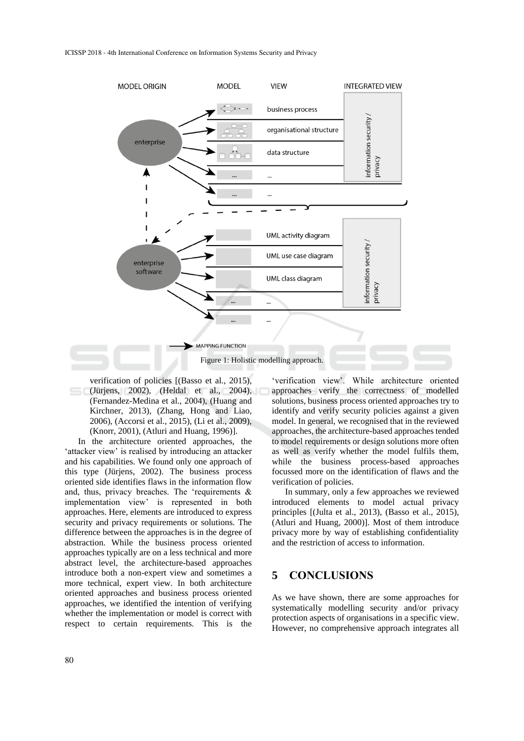

verification of policies [(Basso et al., 2015), (Jürjens, 2002), (Heldal et al., 2004), (Fernandez-Medina et al., 2004), (Huang and Kirchner, 2013), (Zhang, Hong and Liao, 2006), (Accorsi et al., 2015), (Li et al., 2009), (Knorr, 2001), (Atluri and Huang, 1996)].

In the architecture oriented approaches, the 'attacker view' is realised by introducing an attacker and his capabilities. We found only one approach of this type (Jürjens, 2002). The business process oriented side identifies flaws in the information flow and, thus, privacy breaches. The 'requirements & implementation view' is represented in both approaches. Here, elements are introduced to express security and privacy requirements or solutions. The difference between the approaches is in the degree of abstraction. While the business process oriented approaches typically are on a less technical and more abstract level, the architecture-based approaches introduce both a non-expert view and sometimes a more technical, expert view. In both architecture oriented approaches and business process oriented approaches, we identified the intention of verifying whether the implementation or model is correct with respect to certain requirements. This is the

'verification view'. While architecture oriented approaches verify the correctness of modelled solutions, business process oriented approaches try to identify and verify security policies against a given model. In general, we recognised that in the reviewed approaches, the architecture-based approaches tended to model requirements or design solutions more often as well as verify whether the model fulfils them, while the business process-based approaches focussed more on the identification of flaws and the verification of policies.

In summary, only a few approaches we reviewed introduced elements to model actual privacy principles [(Julta et al., 2013), (Basso et al., 2015), (Atluri and Huang, 2000)]. Most of them introduce privacy more by way of establishing confidentiality and the restriction of access to information.

### **5 CONCLUSIONS**

As we have shown, there are some approaches for systematically modelling security and/or privacy protection aspects of organisations in a specific view. However, no comprehensive approach integrates all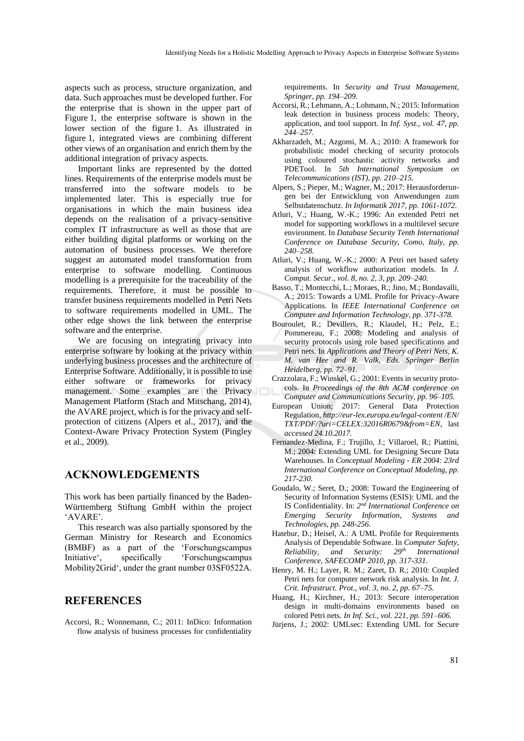aspects such as process, structure organization, and data. Such approaches must be developed further. For the enterprise that is shown in the upper part of Figure 1, the enterprise software is shown in the lower section of the figure 1. As illustrated in figure 1, integrated views are combining different other views of an organisation and enrich them by the additional integration of privacy aspects.

Important links are represented by the dotted lines. Requirements of the enterprise models must be transferred into the software models to be implemented later. This is especially true for organisations in which the main business idea depends on the realisation of a privacy-sensitive complex IT infrastructure as well as those that are either building digital platforms or working on the automation of business processes. We therefore suggest an automated model transformation from enterprise to software modelling. Continuous modelling is a prerequisite for the traceability of the requirements. Therefore, it must be possible to transfer business requirements modelled in Petri Nets to software requirements modelled in UML. The other edge shows the link between the enterprise software and the enterprise.

We are focusing on integrating privacy into enterprise software by looking at the privacy within underlying business processes and the architecture of Enterprise Software. Additionally, it is possible to use either software or frameworks for privacy management. Some examples are the Privacy Management Platform (Stach and Mitschang, 2014), the AVARE project, which is for the privacy and selfprotection of citizens (Alpers et al., 2017), and the Context-Aware Privacy Protection System (Pingley et al., 2009).

#### **ACKNOWLEDGEMENTS**

This work has been partially financed by the Baden-Württemberg Stiftung GmbH within the project 'AVARE'.

This research was also partially sponsored by the German Ministry for Research and Economics (BMBF) as a part of the 'Forschungscampus Initiative', specifically 'Forschungscampus Mobility2Grid', under the grant number 03SF0522A.

#### **REFERENCES**

Accorsi, R.; Wonnemann, C.; 2011: InDico: Information flow analysis of business processes for confidentiality

requirements. In *Security and Trust Management, Springer, pp. 194–209.*

- Accorsi, R.; Lehmann, A.; Lohmann, N.; 2015: Information leak detection in business process models: Theory, application, and tool support. In *Inf. Syst., vol. 47, pp. 244–257.*
- Akbarzadeh, M.; Azgomi, M. A.; 2010: A framework for probabilistic model checking of security protocols using coloured stochastic activity networks and PDETool. In *5th International Symposium on Telecommunications (IST), pp. 210–215.*
- Alpers, S.; Pieper, M.; Wagner, M.; 2017: Herausforderungen bei der Entwicklung von Anwendungen zum Selbstdatenschutz. *In Informatik 2017, pp. 1061-1072.*
- Atluri, V.; Huang, W.-K.; 1996: An extended Petri net model for supporting workflows in a multilevel secure environment. In *Database Security Tenth International Conference on Database Security, Como, Italy, pp. 240–258.*
- Atluri, V.; Huang, W.-K.; 2000: A Petri net based safety analysis of workflow authorization models. In *J. Comput. Secur., vol. 8, no. 2, 3, pp. 209–240.*
- Basso, T.; Montecchi, L.; Moraes, R.; Jino, M.; Bondavalli, A.; 2015: Towards a UML Profile for Privacy-Aware Applications. In *IEEE International Conference on Computer and Information Technology, pp. 371-378.*
- Bouroulet, R.; Devillers, R.; Klaudel, H.; Pelz, E.; Pommereau, F.; 2008: Modeling and analysis of security protocols using role based specifications and Petri nets. In *Applications and Theory of Petri Nets, K. M. van Hee and R. Valk, Eds. Springer Berlin Heidelberg, pp. 72–91.*
- Crazzolara, F.; Winskel, G.; 2001: Events in security protocols. In *Proceedings of the 8th ACM conference on Computer and Communications Security, pp. 96–105.*
- European Union; 2017: General Data Protection Regulation, *http://eur-lex.europa.eu/legal-content /EN/ TXT/PDF/?uri=CELEX:32016R0679&from=EN*, last *accessed 24.10.2017.*
- Fernandez-Medina, F.; Trujillo, J.; Villaroel, R.; Piattini, M.; 2004: Extending UML for Designing Secure Data Warehouses. In *Conceptual Modeling - ER 2004: 23rd International Conference on Conceptual Modeling, pp. 217-230.*
- Goudalo, W.; Seret, D.; 2008: Toward the Engineering of Security of Information Systems (ESIS): UML and the IS Confidentiality. In: 2<sup>nd</sup> International Conference on *Emerging Security Information, Systems and Technologies, pp. 248-256.*
- Hatebur, D.; Heisel, A.: A UML Profile for Requirements Analysis of Dependable Software. In *Computer Safety, Reliability, and Security: 29th International Conference, SAFECOMP 2010, pp. 317-331.*
- Henry, M. H.; Layer, R. M.; Zaret, D. R.; 2010: Coupled Petri nets for computer network risk analysis. In *Int. J. Crit. Infrastruct. Prot., vol. 3, no. 2, pp. 67–75.*
- Huang, H.; Kirchner, H.; 2013: Secure interoperation design in multi-domains environments based on colored Petri nets. *In Inf. Sci., vol. 221, pp. 591–606.*
- Jürjens, J.; 2002: UMLsec: Extending UML for Secure